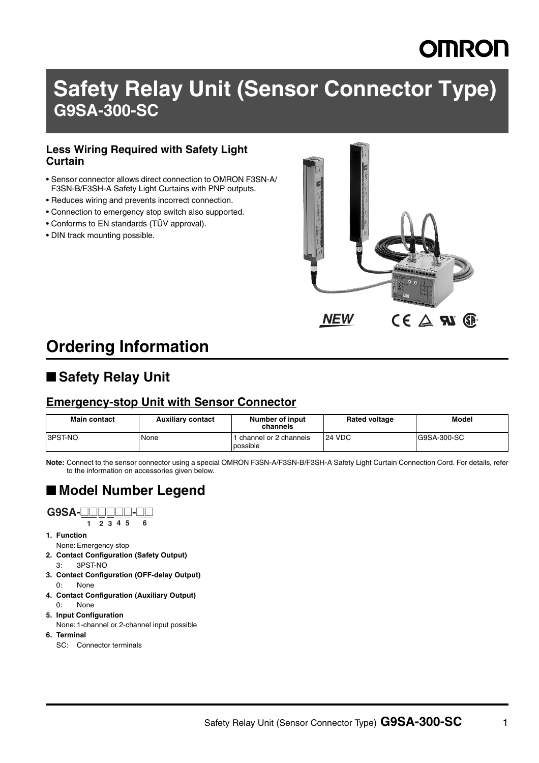## **Safety Relay Unit (Sensor Connector Type) G9SA-300-SC**

#### **Less Wiring Required with Safety Light Curtain**

- Sensor connector allows direct connection to OMRON F3SN-A/ F3SN-B/F3SH-A Safety Light Curtains with PNP outputs.
- Reduces wiring and prevents incorrect connection.
- Connection to emergency stop switch also supported.
- Conforms to EN standards (TÜV approval).
- DIN track mounting possible.



## **Ordering Information**

### ■ Safety Relay Unit

#### **Emergency-stop Unit with Sensor Connector**

| Main contact     | <b>Auxiliary contact</b> | Number of input<br>channels       | <b>Rated voltage</b> | <b>Model</b> |
|------------------|--------------------------|-----------------------------------|----------------------|--------------|
| <b>B</b> 3PST-NO | None                     | channel or 2 channels<br>possible | 24 VDC               | G9SA-300-SC  |

**Note:** Connect to the sensor connector using a special OMRON F3SN-A/F3SN-B/F3SH-A Safety Light Curtain Connection Cord. For details, refer to the information on accessories given below.

### ■ **Model Number Legend**

#### **G9SA-**@@@@@@**-**@@

**1 2 3 4 5 6**

- **1. Function**
- None: Emergency stop **2. Contact Configuration (Safety Output)**
- 3: 3PST-NO
- **3. Contact Configuration (OFF-delay Output)** 0: None
- **4. Contact Configuration (Auxiliary Output)**
	- 0: None
- **5. Input Configuration**
- None: 1-channel or 2-channel input possible **6. Terminal**
	- SC: Connector terminals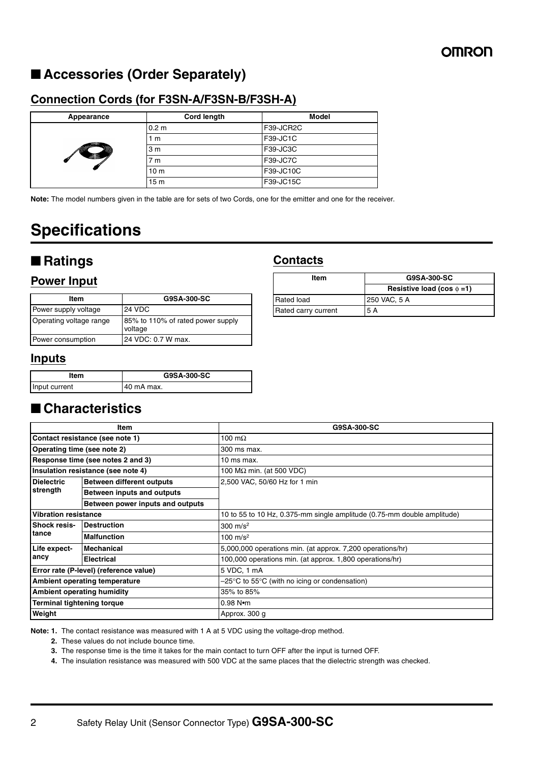### ■ **Accessories (Order Separately)**

#### **Connection Cords (for F3SN-A/F3SN-B/F3SH-A)**

| Appearance | Cord length      | <b>Model</b> |  |  |
|------------|------------------|--------------|--|--|
|            | 0.2 <sub>m</sub> | F39-JCR2C    |  |  |
|            | 1 m              | F39-JC1C     |  |  |
|            | 3 <sub>m</sub>   | F39-JC3C     |  |  |
|            | 7 <sub>m</sub>   | F39-JC7C     |  |  |
|            | 10 <sub>m</sub>  | F39-JC10C    |  |  |
|            | 15 <sub>m</sub>  | F39-JC15C    |  |  |

**Note:** The model numbers given in the table are for sets of two Cords, one for the emitter and one for the receiver.

## **Specifications**

### ■ **Ratings**

#### **Power Input**

| Item                    | G9SA-300-SC                                  |  |
|-------------------------|----------------------------------------------|--|
| Power supply voltage    | <b>24 VDC</b>                                |  |
| Operating voltage range | 85% to 110% of rated power supply<br>voltage |  |
| Power consumption       | 24 VDC: 0.7 W max.                           |  |

#### **Inputs**

| ltem          | G9SA-300-SC |  |  |
|---------------|-------------|--|--|
| Input current | 40 mA max.  |  |  |

### ■ **Characteristics**

| Item                                                  |                                        | G9SA-300-SC                                                             |  |  |  |
|-------------------------------------------------------|----------------------------------------|-------------------------------------------------------------------------|--|--|--|
| Contact resistance (see note 1)                       |                                        | 100 $m\Omega$                                                           |  |  |  |
| Operating time (see note 2)                           |                                        | 300 ms max.                                                             |  |  |  |
| Response time (see notes 2 and 3)                     |                                        | 10 ms max.                                                              |  |  |  |
|                                                       | Insulation resistance (see note 4)     | 100 $M\Omega$ min. (at 500 VDC)                                         |  |  |  |
| <b>Dielectric</b><br><b>Between different outputs</b> |                                        | 2,500 VAC, 50/60 Hz for 1 min                                           |  |  |  |
| strength                                              | Between inputs and outputs             |                                                                         |  |  |  |
|                                                       | Between power inputs and outputs       |                                                                         |  |  |  |
| Vibration resistance                                  |                                        | 10 to 55 to 10 Hz, 0.375-mm single amplitude (0.75-mm double amplitude) |  |  |  |
| <b>Shock resis-</b>                                   | <b>Destruction</b>                     | 300 $m/s^2$                                                             |  |  |  |
| tance                                                 | <b>Malfunction</b>                     | 100 $m/s^2$                                                             |  |  |  |
| Life expect-                                          | <b>Mechanical</b>                      | 5,000,000 operations min. (at approx. 7,200 operations/hr)              |  |  |  |
| ancy                                                  | <b>Electrical</b>                      | 100,000 operations min. (at approx. 1,800 operations/hr)                |  |  |  |
|                                                       | Error rate (P-level) (reference value) | 5 VDC, 1 mA                                                             |  |  |  |
| Ambient operating temperature                         |                                        | $-25^{\circ}$ C to 55 $^{\circ}$ C (with no icing or condensation)      |  |  |  |
| <b>Ambient operating humidity</b>                     |                                        | 35% to 85%                                                              |  |  |  |
| <b>Terminal tightening torque</b>                     |                                        | $0.98$ N $\bullet$ m                                                    |  |  |  |
| Weight                                                |                                        | Approx. 300 g                                                           |  |  |  |

**Note: 1.** The contact resistance was measured with 1 A at 5 VDC using the voltage-drop method.

**2.** These values do not include bounce time.

**3.** The response time is the time it takes for the main contact to turn OFF after the input is turned OFF.

**4.** The insulation resistance was measured with 500 VDC at the same places that the dielectric strength was checked.

## **Contacts**

| Item                | G9SA-300-SC                      |  |  |
|---------------------|----------------------------------|--|--|
|                     | Resistive load (cos $\phi = 1$ ) |  |  |
| <b>Rated load</b>   | 250 VAC. 5 A                     |  |  |
| Rated carry current | 5 A                              |  |  |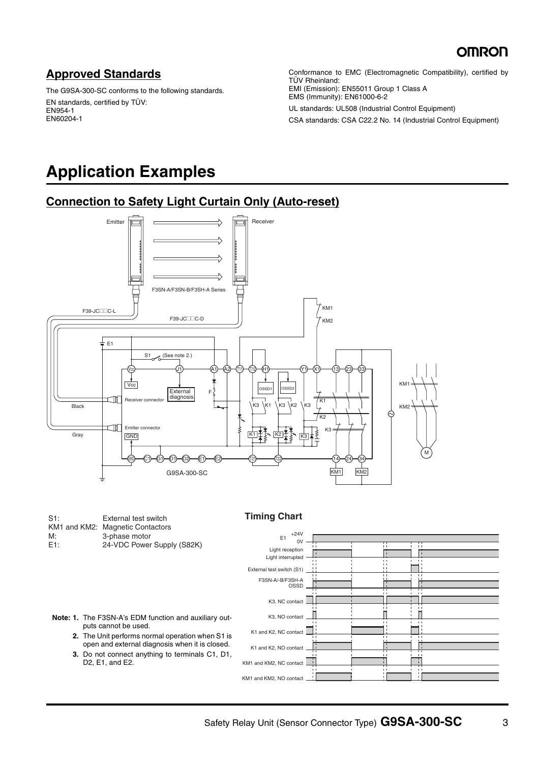### **Approved Standards**

The G9SA-300-SC conforms to the following standards. EN standards, certified by TÜV: EN954-1 EN60204-1

Conformance to EMC (Electromagnetic Compatibility), certified by TÜV Rheinland: EMI (Emission): EN55011 Group 1 Class A EMS (Immunity): EN61000-6-2

UL standards: UL508 (Industrial Control Equipment) CSA standards: CSA C22.2 No. 14 (Industrial Control Equipment)

## **Application Examples**

#### **Connection to Safety Light Curtain Only (Auto-reset)**



| S1:              | External test switch             |
|------------------|----------------------------------|
|                  | KM1 and KM2: Magnetic Contactors |
| M:               | 3-phase motor                    |
| E <sub>1</sub> : | 24-VDC Power Supply (S82K)       |

**Timing Chart**

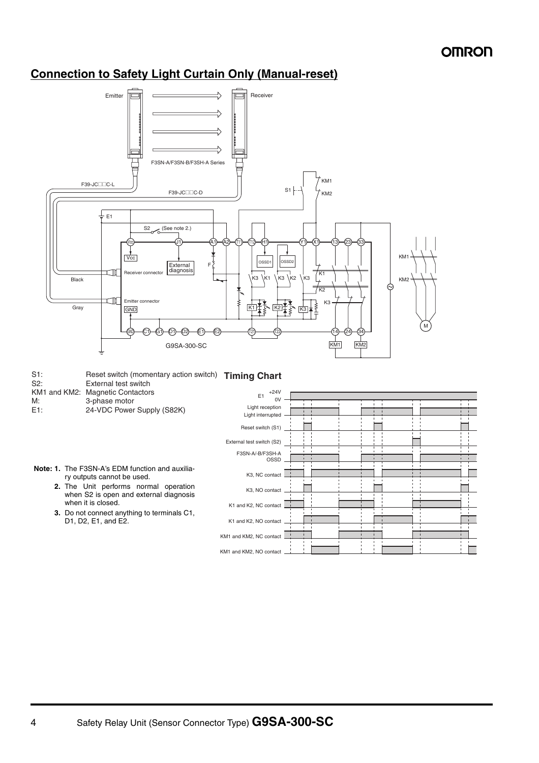#### **Connection to Safety Light Curtain Only (Manual-reset)**

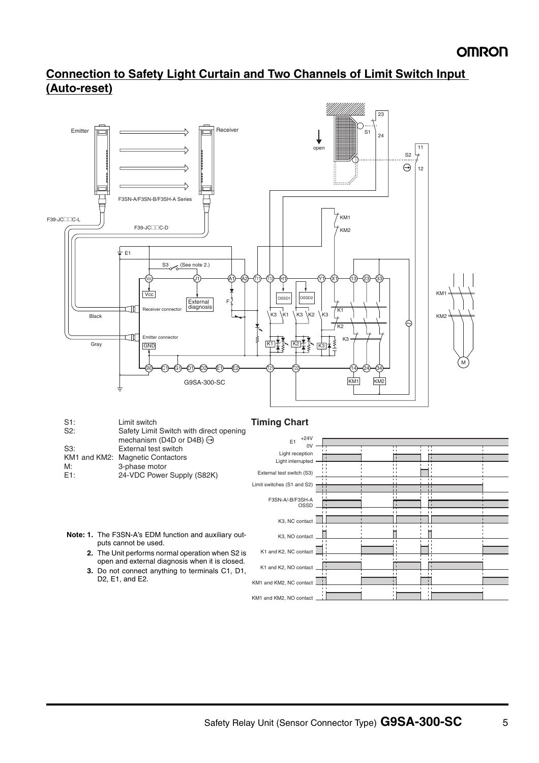#### **Connection to Safety Light Curtain and Two Channels of Limit Switch Input (Auto-reset)**



|              | <u>oarot, milit onnton milit alloot oponing</u><br>mechanism (D4D or D4B) $\ominus$ | $+24V$<br>E <sub>1</sub>   |  |                |                |  |
|--------------|-------------------------------------------------------------------------------------|----------------------------|--|----------------|----------------|--|
| S3:          | External test switch                                                                | ٥v                         |  |                |                |  |
| KM1 and KM2: | <b>Magnetic Contactors</b>                                                          | Light reception            |  |                |                |  |
| M:           | 3-phase motor                                                                       | Light interrupted          |  |                |                |  |
| E1:          | 24-VDC Power Supply (S82K)                                                          | External test switch (S3)  |  |                |                |  |
|              |                                                                                     | Limit switches (S1 and S2) |  | $\mathbf{1}$   | $\mathbf{1}$   |  |
|              |                                                                                     |                            |  | $\overline{1}$ | $\overline{1}$ |  |
|              |                                                                                     | F3SN-A/-B/F3SH-A           |  |                |                |  |
|              |                                                                                     | OSSD                       |  |                |                |  |
|              |                                                                                     |                            |  |                | $\mathbf{1}$   |  |
|              |                                                                                     | K3, NC contact             |  |                |                |  |
|              |                                                                                     |                            |  |                |                |  |
|              | Note: 1. The F3SN-A's EDM function and auxiliary out-                               | K3, NO contact             |  | $\mathbf{L}$   |                |  |
|              | puts cannot be used.                                                                |                            |  |                |                |  |
|              | 2. The Unit performs normal operation when S2 is                                    | K1 and K2, NC contact      |  |                | $\blacksquare$ |  |
|              | open and external diagnosis when it is closed.                                      |                            |  |                |                |  |
|              | 3. Do not connect anything to terminals C1, D1,                                     | K1 and K2, NO contact      |  |                |                |  |
|              | D2, E1, and E2.                                                                     | KM1 and KM2, NC contact    |  |                |                |  |
|              |                                                                                     |                            |  |                |                |  |

KM1 and KM2, NO contact

÷

Ħ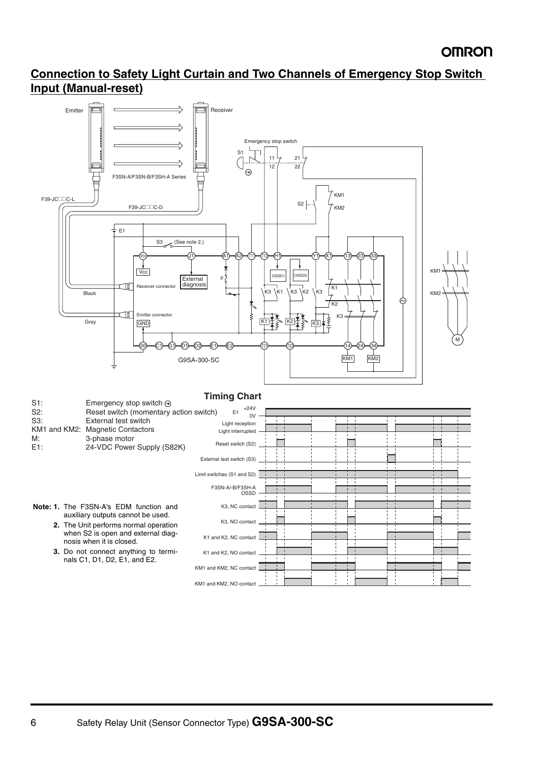### **Connection to Safety Light Curtain and Two Channels of Emergency Stop Switch Input (Manual-reset)**

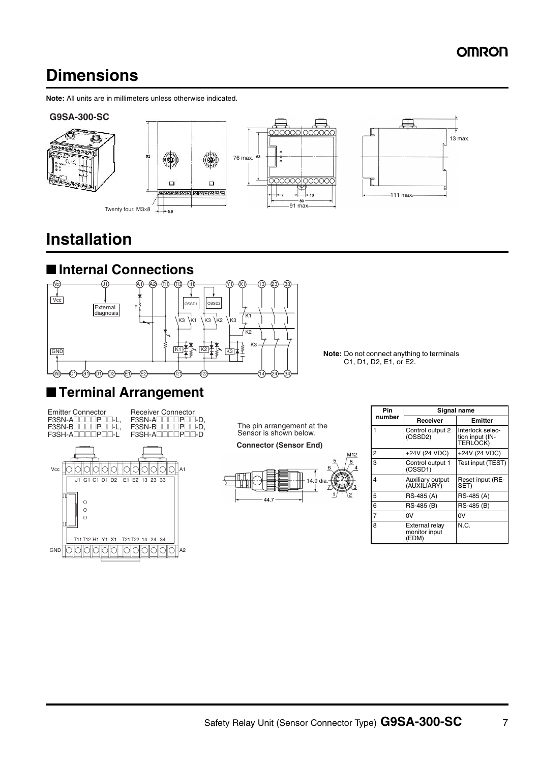## **Dimensions**

**Note:** All units are in millimeters unless otherwise indicated.











## **Installation**



■ **Terminal Arrangement**



C1, D1, D2, E1, or E2.

Emitter Connector F3SN-ADDDDPDD-L, F3SN-B@@@@P@@-L, F3SH-A@@@@P@@-L

Receiver Connector F3SN-ADDODPDD-D, F3SN-B@@@@P@@-D, F3SH-A□□□□P□□-D



The pin arrangement at the Sensor is shown below.

**Connector (Sensor End)**



| Pin            | Signal name                              |                                                 |  |
|----------------|------------------------------------------|-------------------------------------------------|--|
| number         | Receiver                                 | Emitter                                         |  |
| 1              | Control output 2<br>(OSSD2)              | Interlock selec-<br>tion input (IN-<br>TERLOCK) |  |
| 2              | +24V (24 VDC)                            | +24V (24 VDC)                                   |  |
| $\overline{3}$ | Control output 1<br>(OSSD1)              | Test input (TEST)                               |  |
| 4              | Auxiliary output<br>(AUXILIARY)          | Reset input (RE-<br>SET)                        |  |
| 5              | RS-485 (A)                               | RS-485 (A)                                      |  |
| 6              | RS-485 (B)                               | RS-485 (B)                                      |  |
| $\overline{7}$ | 0V                                       | 0V                                              |  |
| 8              | External relay<br>monitor input<br>(EDM) | N.C.                                            |  |